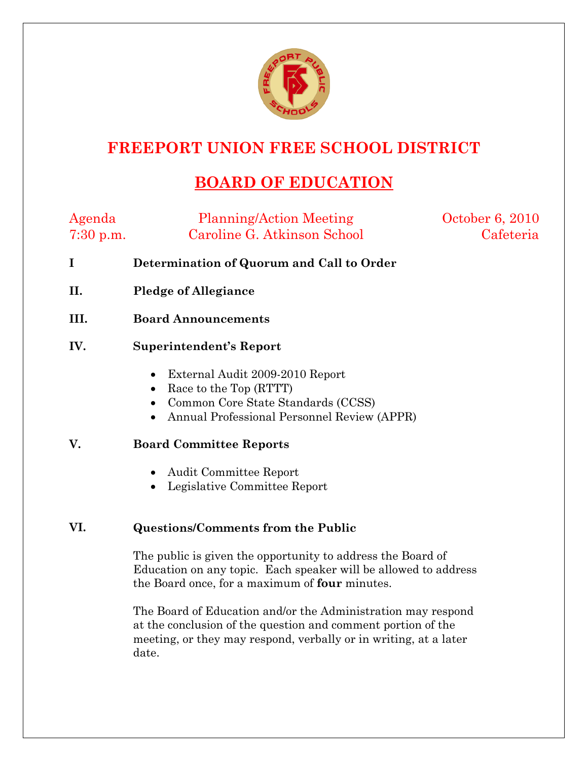

## **FREEPORT UNION FREE SCHOOL DISTRICT**

# **BOARD OF EDUCATION**

| Agenda<br>$7:30$ p.m. | <b>Planning/Action Meeting</b><br>Caroline G. Atkinson School                                                                                                                                      | October 6, 2010<br>Cafeteria |
|-----------------------|----------------------------------------------------------------------------------------------------------------------------------------------------------------------------------------------------|------------------------------|
| $\bf{I}$              | Determination of Quorum and Call to Order                                                                                                                                                          |                              |
| II.                   | <b>Pledge of Allegiance</b>                                                                                                                                                                        |                              |
| III.                  | <b>Board Announcements</b>                                                                                                                                                                         |                              |
| IV.                   | Superintendent's Report                                                                                                                                                                            |                              |
|                       | External Audit 2009-2010 Report<br>$\bullet$<br>Race to the Top (RTTT)<br>$\bullet$<br>Common Core State Standards (CCSS)<br>$\bullet$<br>Annual Professional Personnel Review (APPR)<br>$\bullet$ |                              |
| V.                    | <b>Board Committee Reports</b>                                                                                                                                                                     |                              |

- Audit Committee Report
- Legislative Committee Report

#### **VI. Questions/Comments from the Public**

The public is given the opportunity to address the Board of Education on any topic. Each speaker will be allowed to address the Board once, for a maximum of **four** minutes.

The Board of Education and/or the Administration may respond at the conclusion of the question and comment portion of the meeting, or they may respond, verbally or in writing, at a later date.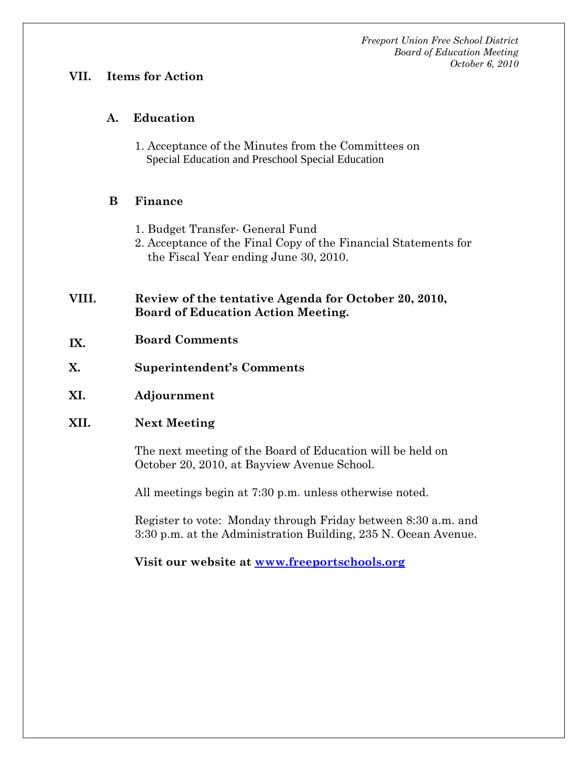#### **VII. Items for Action**

#### **A. Education**

1. Acceptance of the Minutes from the Committees on Special Education and Preschool Special Education

### **B Finance**

- 1. Budget Transfer- General Fund
- 2. Acceptance of the Final Copy of the Financial Statements for the Fiscal Year ending June 30, 2010.

#### **VIII. Review of the tentative Agenda for October 20, 2010, Board of Education Action Meeting.**

- **IX. Board Comments**
- **X. Superintendent's Comments**
- **XI. Adjournment**

#### **XII. Next Meeting**

The next meeting of the Board of Education will be held on October 20, 2010, at Bayview Avenue School.

All meetings begin at 7:30 p.m. unless otherwise noted.

Register to vote: Monday through Friday between 8:30 a.m. and 3:30 p.m. at the Administration Building, 235 N. Ocean Avenue.

**Visit our website at www.freeportschools.org**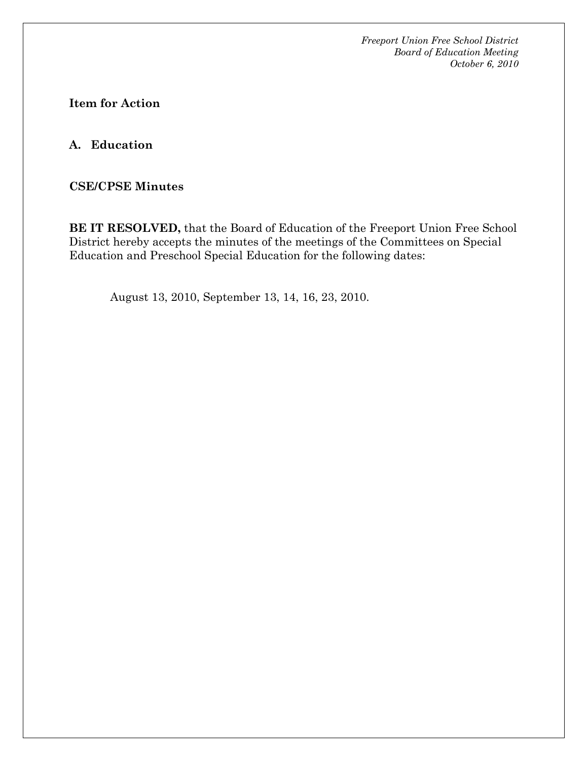**Item for Action** 

**A. Education**

**CSE/CPSE Minutes** 

**BE IT RESOLVED,** that the Board of Education of the Freeport Union Free School District hereby accepts the minutes of the meetings of the Committees on Special Education and Preschool Special Education for the following dates:

August 13, 2010, September 13, 14, 16, 23, 2010.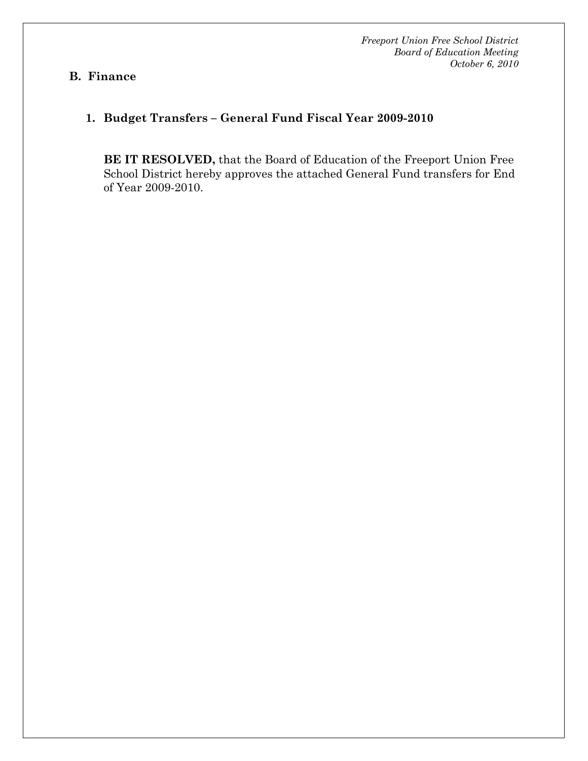#### **B. Finance**

## **1. Budget Transfers – General Fund Fiscal Year 2009-2010**

**BE IT RESOLVED,** that the Board of Education of the Freeport Union Free School District hereby approves the attached General Fund transfers for End of Year 2009-2010.